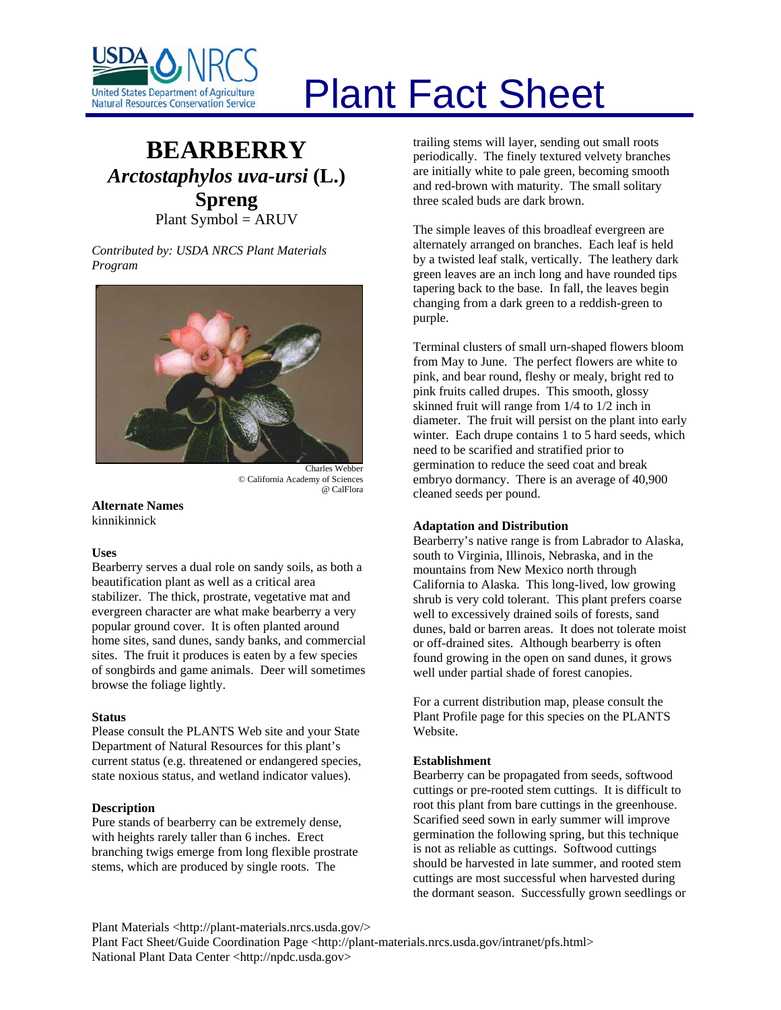

# Plant Fact Sheet

# **BEARBERRY** *Arctostaphylos uva-ursi* **(L.) Spreng** Plant Symbol = ARUV

*Contributed by: USDA NRCS Plant Materials Program* 



© California Academy of Sciences @ CalFlora

**Alternate Names**  kinnikinnick

# **Uses**

Bearberry serves a dual role on sandy soils, as both a beautification plant as well as a critical area stabilizer. The thick, prostrate, vegetative mat and evergreen character are what make bearberry a very popular ground cover. It is often planted around home sites, sand dunes, sandy banks, and commercial sites. The fruit it produces is eaten by a few species of songbirds and game animals. Deer will sometimes browse the foliage lightly.

#### **Status**

Please consult the PLANTS Web site and your State Department of Natural Resources for this plant's current status (e.g. threatened or endangered species, state noxious status, and wetland indicator values).

# **Description**

Pure stands of bearberry can be extremely dense, with heights rarely taller than 6 inches. Erect branching twigs emerge from long flexible prostrate stems, which are produced by single roots. The

trailing stems will layer, sending out small roots periodically. The finely textured velvety branches are initially white to pale green, becoming smooth and red-brown with maturity. The small solitary three scaled buds are dark brown.

The simple leaves of this broadleaf evergreen are alternately arranged on branches. Each leaf is held by a twisted leaf stalk, vertically. The leathery dark green leaves are an inch long and have rounded tips tapering back to the base. In fall, the leaves begin changing from a dark green to a reddish-green to purple.

Terminal clusters of small urn-shaped flowers bloom from May to June. The perfect flowers are white to pink, and bear round, fleshy or mealy, bright red to pink fruits called drupes. This smooth, glossy skinned fruit will range from 1/4 to 1/2 inch in diameter. The fruit will persist on the plant into early winter. Each drupe contains 1 to 5 hard seeds, which need to be scarified and stratified prior to germination to reduce the seed coat and break embryo dormancy. There is an average of 40,900 cleaned seeds per pound.

# **Adaptation and Distribution**

Bearberry's native range is from Labrador to Alaska, south to Virginia, Illinois, Nebraska, and in the mountains from New Mexico north through California to Alaska. This long-lived, low growing shrub is very cold tolerant. This plant prefers coarse well to excessively drained soils of forests, sand dunes, bald or barren areas. It does not tolerate moist or off-drained sites. Although bearberry is often found growing in the open on sand dunes, it grows well under partial shade of forest canopies.

For a current distribution map, please consult the Plant Profile page for this species on the PLANTS Website.

# **Establishment**

Bearberry can be propagated from seeds, softwood cuttings or pre-rooted stem cuttings. It is difficult to root this plant from bare cuttings in the greenhouse. Scarified seed sown in early summer will improve germination the following spring, but this technique is not as reliable as cuttings. Softwood cuttings should be harvested in late summer, and rooted stem cuttings are most successful when harvested during the dormant season. Successfully grown seedlings or

Plant Materials <http://plant-materials.nrcs.usda.gov/>

Plant Fact Sheet/Guide Coordination Page <http://plant-materials.nrcs.usda.gov/intranet/pfs.html> National Plant Data Center <http://npdc.usda.gov>